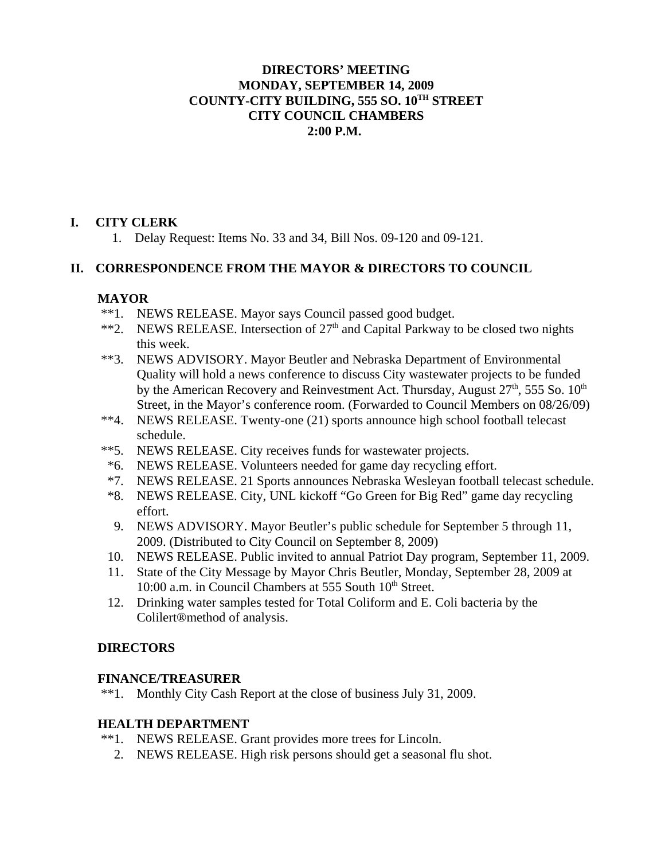### **DIRECTORS' MEETING MONDAY, SEPTEMBER 14, 2009 COUNTY-CITY BUILDING, 555 SO. 10TH STREET CITY COUNCIL CHAMBERS 2:00 P.M.**

## **I. CITY CLERK**

1. Delay Request: Items No. 33 and 34, Bill Nos. 09-120 and 09-121.

## **II. CORRESPONDENCE FROM THE MAYOR & DIRECTORS TO COUNCIL**

## **MAYOR**

- \*\*1. NEWS RELEASE. Mayor says Council passed good budget.
- \*\*2. NEWS RELEASE. Intersection of  $27<sup>th</sup>$  and Capital Parkway to be closed two nights this week.
- \*\*3. NEWS ADVISORY. Mayor Beutler and Nebraska Department of Environmental Quality will hold a news conference to discuss City wastewater projects to be funded by the American Recovery and Reinvestment Act. Thursday, August  $27<sup>th</sup>$ , 555 So.  $10<sup>th</sup>$ Street, in the Mayor's conference room. (Forwarded to Council Members on 08/26/09)
- \*\*4. NEWS RELEASE. Twenty-one (21) sports announce high school football telecast schedule.
- \*\*5. NEWS RELEASE. City receives funds for wastewater projects.
- \*6. NEWS RELEASE. Volunteers needed for game day recycling effort.
- \*7. NEWS RELEASE. 21 Sports announces Nebraska Wesleyan football telecast schedule.
- \*8. NEWS RELEASE. City, UNL kickoff "Go Green for Big Red" game day recycling effort.
- 9. NEWS ADVISORY. Mayor Beutler's public schedule for September 5 through 11, 2009. (Distributed to City Council on September 8, 2009)
- 10. NEWS RELEASE. Public invited to annual Patriot Day program, September 11, 2009.
- 11. State of the City Message by Mayor Chris Beutler, Monday, September 28, 2009 at 10:00 a.m. in Council Chambers at 555 South 10<sup>th</sup> Street.
- 12. Drinking water samples tested for Total Coliform and E. Coli bacteria by the Colilert®method of analysis.

# **DIRECTORS**

## **FINANCE/TREASURER**

\*\*1. Monthly City Cash Report at the close of business July 31, 2009.

# **HEALTH DEPARTMENT**

- \*\*1. NEWS RELEASE. Grant provides more trees for Lincoln.
	- 2. NEWS RELEASE. High risk persons should get a seasonal flu shot.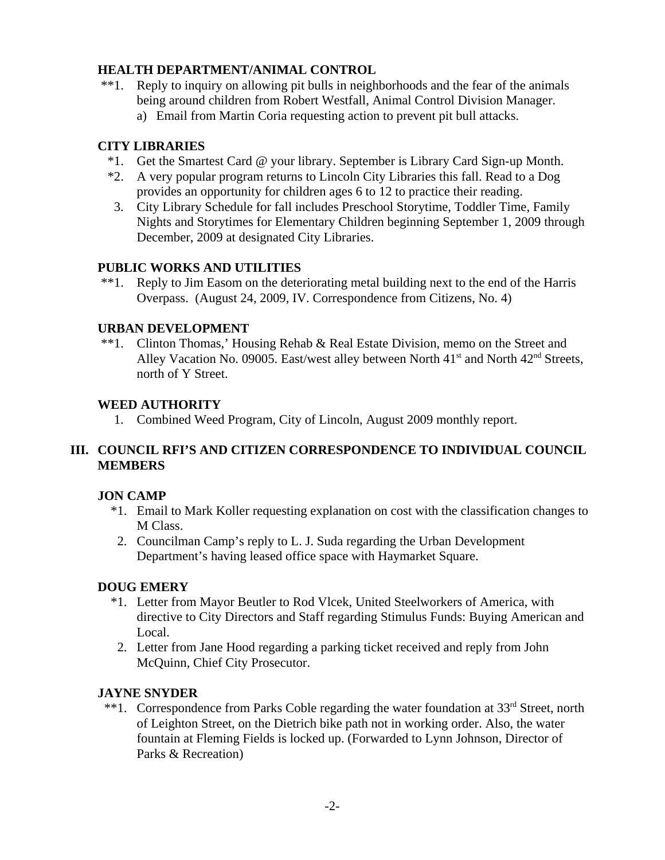## **HEALTH DEPARTMENT/ANIMAL CONTROL**

- \*\*1. Reply to inquiry on allowing pit bulls in neighborhoods and the fear of the animals being around children from Robert Westfall, Animal Control Division Manager.
	- a) Email from Martin Coria requesting action to prevent pit bull attacks.

# **CITY LIBRARIES**

- \*1. Get the Smartest Card @ your library. September is Library Card Sign-up Month.
- \*2. A very popular program returns to Lincoln City Libraries this fall. Read to a Dog provides an opportunity for children ages 6 to 12 to practice their reading.
- 3. City Library Schedule for fall includes Preschool Storytime, Toddler Time, Family Nights and Storytimes for Elementary Children beginning September 1, 2009 through December, 2009 at designated City Libraries.

## **PUBLIC WORKS AND UTILITIES**

 \*\*1. Reply to Jim Easom on the deteriorating metal building next to the end of the Harris Overpass. (August 24, 2009, IV. Correspondence from Citizens, No. 4)

## **URBAN DEVELOPMENT**

 \*\*1. Clinton Thomas,' Housing Rehab & Real Estate Division, memo on the Street and Alley Vacation No. 09005. East/west alley between North 41<sup>st</sup> and North 42<sup>nd</sup> Streets, north of Y Street.

## **WEED AUTHORITY**

1. Combined Weed Program, City of Lincoln, August 2009 monthly report.

# **III. COUNCIL RFI'S AND CITIZEN CORRESPONDENCE TO INDIVIDUAL COUNCIL MEMBERS**

## **JON CAMP**

- \*1. Email to Mark Koller requesting explanation on cost with the classification changes to M Class.
- 2. Councilman Camp's reply to L. J. Suda regarding the Urban Development Department's having leased office space with Haymarket Square.

## **DOUG EMERY**

- \*1. Letter from Mayor Beutler to Rod Vlcek, United Steelworkers of America, with directive to City Directors and Staff regarding Stimulus Funds: Buying American and Local.
- 2. Letter from Jane Hood regarding a parking ticket received and reply from John McQuinn, Chief City Prosecutor.

## **JAYNE SNYDER**

\*\*1. Correspondence from Parks Coble regarding the water foundation at 33<sup>rd</sup> Street, north of Leighton Street, on the Dietrich bike path not in working order. Also, the water fountain at Fleming Fields is locked up. (Forwarded to Lynn Johnson, Director of Parks & Recreation)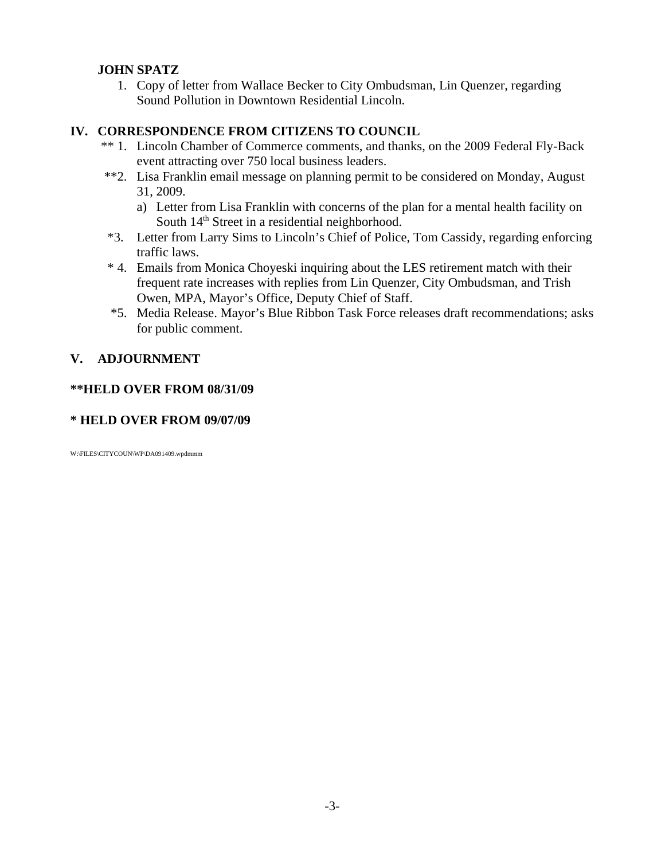## **JOHN SPATZ**

 1. Copy of letter from Wallace Becker to City Ombudsman, Lin Quenzer, regarding Sound Pollution in Downtown Residential Lincoln.

## **IV. CORRESPONDENCE FROM CITIZENS TO COUNCIL**

- \*\* 1. Lincoln Chamber of Commerce comments, and thanks, on the 2009 Federal Fly-Back event attracting over 750 local business leaders.
- \*\*2. Lisa Franklin email message on planning permit to be considered on Monday, August 31, 2009.
	- a) Letter from Lisa Franklin with concerns of the plan for a mental health facility on South  $14<sup>th</sup>$  Street in a residential neighborhood.
- \*3. Letter from Larry Sims to Lincoln's Chief of Police, Tom Cassidy, regarding enforcing traffic laws.
- \* 4. Emails from Monica Choyeski inquiring about the LES retirement match with their frequent rate increases with replies from Lin Quenzer, City Ombudsman, and Trish Owen, MPA, Mayor's Office, Deputy Chief of Staff.
- \*5. Media Release. Mayor's Blue Ribbon Task Force releases draft recommendations; asks for public comment.

# **V. ADJOURNMENT**

## **\*\*HELD OVER FROM 08/31/09**

### **\* HELD OVER FROM 09/07/09**

W:\FILES\CITYCOUN\WP\DA091409.wpdmmm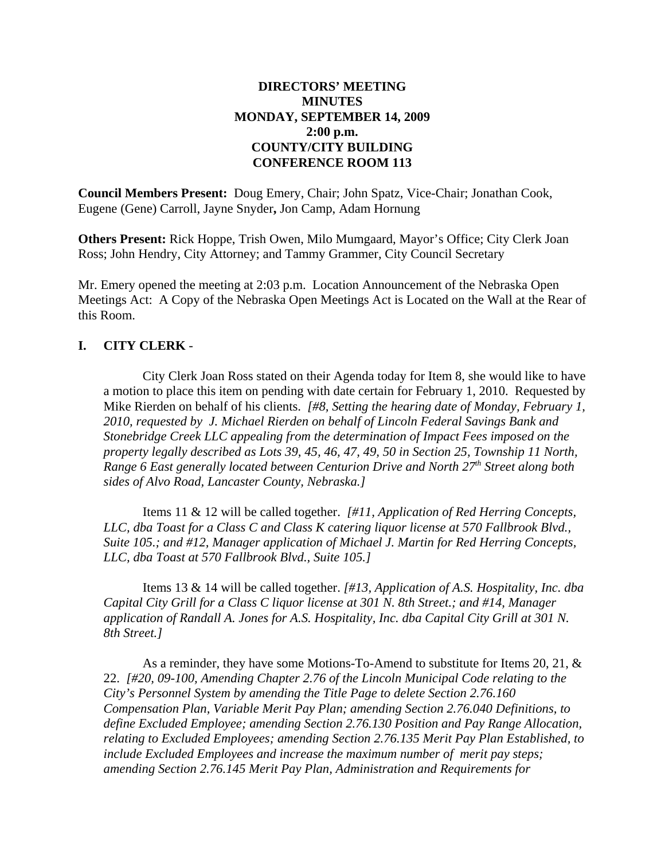## **DIRECTORS' MEETING MINUTES MONDAY, SEPTEMBER 14, 2009 2:00 p.m. COUNTY/CITY BUILDING CONFERENCE ROOM 113**

**Council Members Present:** Doug Emery, Chair; John Spatz, Vice-Chair; Jonathan Cook, Eugene (Gene) Carroll, Jayne Snyder**,** Jon Camp, Adam Hornung

**Others Present:** Rick Hoppe, Trish Owen, Milo Mumgaard, Mayor's Office; City Clerk Joan Ross; John Hendry, City Attorney; and Tammy Grammer, City Council Secretary

Mr. Emery opened the meeting at 2:03 p.m. Location Announcement of the Nebraska Open Meetings Act: A Copy of the Nebraska Open Meetings Act is Located on the Wall at the Rear of this Room.

## **I. CITY CLERK** -

City Clerk Joan Ross stated on their Agenda today for Item 8, she would like to have a motion to place this item on pending with date certain for February 1, 2010. Requested by Mike Rierden on behalf of his clients. *[#8, Setting the hearing date of Monday, February 1, 2010, requested by J. Michael Rierden on behalf of Lincoln Federal Savings Bank and Stonebridge Creek LLC appealing from the determination of Impact Fees imposed on the property legally described as Lots 39, 45, 46, 47, 49, 50 in Section 25, Township 11 North, Range 6 East generally located between Centurion Drive and North 27th Street along both sides of Alvo Road, Lancaster County, Nebraska.]* 

Items 11 & 12 will be called together. *[#11, Application of Red Herring Concepts, LLC, dba Toast for a Class C and Class K catering liquor license at 570 Fallbrook Blvd., Suite 105.; and #12, Manager application of Michael J. Martin for Red Herring Concepts, LLC, dba Toast at 570 Fallbrook Blvd., Suite 105.]*

Items 13 & 14 will be called together. *[#13, Application of A.S. Hospitality, Inc. dba Capital City Grill for a Class C liquor license at 301 N. 8th Street.; and #14, Manager application of Randall A. Jones for A.S. Hospitality, Inc. dba Capital City Grill at 301 N. 8th Street.]*

As a reminder, they have some Motions-To-Amend to substitute for Items 20, 21, & 22. *[#20, 09-100, Amending Chapter 2.76 of the Lincoln Municipal Code relating to the City's Personnel System by amending the Title Page to delete Section 2.76.160 Compensation Plan, Variable Merit Pay Plan; amending Section 2.76.040 Definitions, to define Excluded Employee; amending Section 2.76.130 Position and Pay Range Allocation, relating to Excluded Employees; amending Section 2.76.135 Merit Pay Plan Established, to include Excluded Employees and increase the maximum number of merit pay steps; amending Section 2.76.145 Merit Pay Plan, Administration and Requirements for*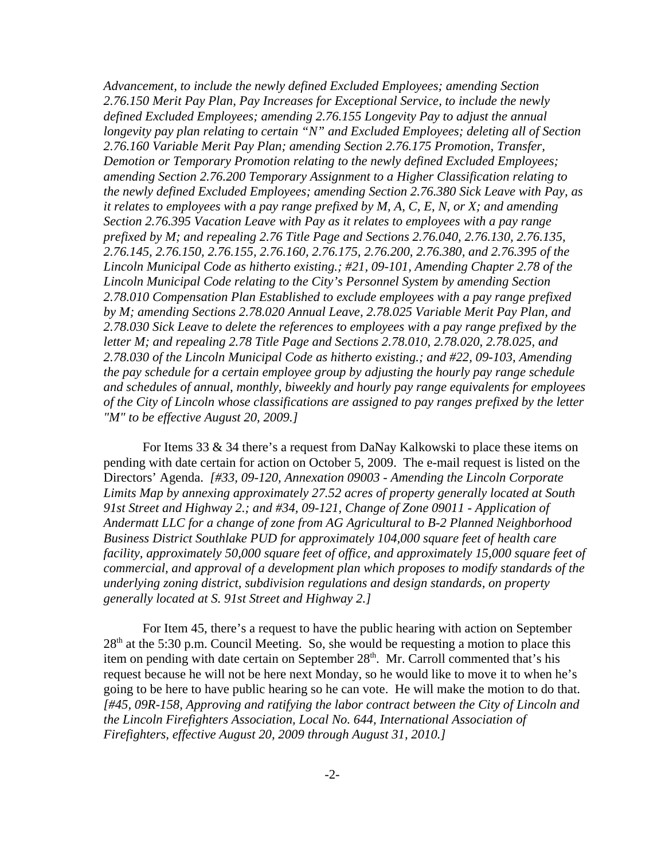*Advancement, to include the newly defined Excluded Employees; amending Section 2.76.150 Merit Pay Plan, Pay Increases for Exceptional Service, to include the newly defined Excluded Employees; amending 2.76.155 Longevity Pay to adjust the annual longevity pay plan relating to certain "N" and Excluded Employees; deleting all of Section 2.76.160 Variable Merit Pay Plan; amending Section 2.76.175 Promotion, Transfer, Demotion or Temporary Promotion relating to the newly defined Excluded Employees; amending Section 2.76.200 Temporary Assignment to a Higher Classification relating to the newly defined Excluded Employees; amending Section 2.76.380 Sick Leave with Pay, as it relates to employees with a pay range prefixed by M, A, C, E, N, or X; and amending Section 2.76.395 Vacation Leave with Pay as it relates to employees with a pay range prefixed by M; and repealing 2.76 Title Page and Sections 2.76.040, 2.76.130, 2.76.135, 2.76.145, 2.76.150, 2.76.155, 2.76.160, 2.76.175, 2.76.200, 2.76.380, and 2.76.395 of the Lincoln Municipal Code as hitherto existing.; #21, 09-101, Amending Chapter 2.78 of the Lincoln Municipal Code relating to the City's Personnel System by amending Section 2.78.010 Compensation Plan Established to exclude employees with a pay range prefixed by M; amending Sections 2.78.020 Annual Leave, 2.78.025 Variable Merit Pay Plan, and 2.78.030 Sick Leave to delete the references to employees with a pay range prefixed by the letter M; and repealing 2.78 Title Page and Sections 2.78.010, 2.78.020, 2.78.025, and 2.78.030 of the Lincoln Municipal Code as hitherto existing.; and #22, 09-103, Amending the pay schedule for a certain employee group by adjusting the hourly pay range schedule and schedules of annual, monthly, biweekly and hourly pay range equivalents for employees of the City of Lincoln whose classifications are assigned to pay ranges prefixed by the letter "M" to be effective August 20, 2009.]*

For Items 33 & 34 there's a request from DaNay Kalkowski to place these items on pending with date certain for action on October 5, 2009. The e-mail request is listed on the Directors' Agenda. *[#33, 09-120, Annexation 09003 - Amending the Lincoln Corporate Limits Map by annexing approximately 27.52 acres of property generally located at South 91st Street and Highway 2.; and #34, 09-121, Change of Zone 09011 - Application of Andermatt LLC for a change of zone from AG Agricultural to B-2 Planned Neighborhood Business District Southlake PUD for approximately 104,000 square feet of health care facility, approximately 50,000 square feet of office, and approximately 15,000 square feet of commercial, and approval of a development plan which proposes to modify standards of the underlying zoning district, subdivision regulations and design standards, on property generally located at S. 91st Street and Highway 2.]*

For Item 45, there's a request to have the public hearing with action on September  $28<sup>th</sup>$  at the 5:30 p.m. Council Meeting. So, she would be requesting a motion to place this item on pending with date certain on September 28<sup>th</sup>. Mr. Carroll commented that's his request because he will not be here next Monday, so he would like to move it to when he's going to be here to have public hearing so he can vote. He will make the motion to do that. *[#45, 09R-158, Approving and ratifying the labor contract between the City of Lincoln and the Lincoln Firefighters Association, Local No. 644, International Association of Firefighters, effective August 20, 2009 through August 31, 2010.]*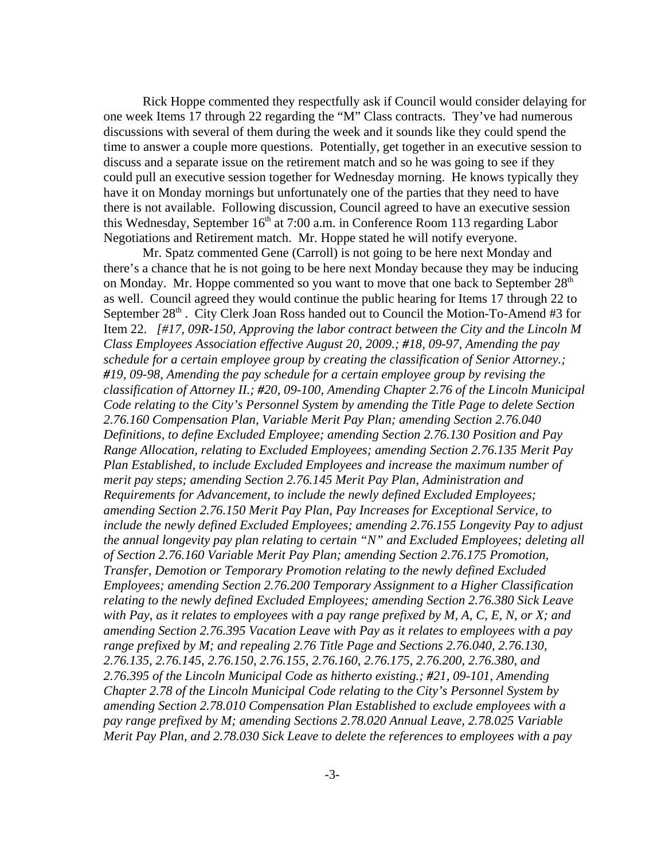Rick Hoppe commented they respectfully ask if Council would consider delaying for one week Items 17 through 22 regarding the "M" Class contracts. They've had numerous discussions with several of them during the week and it sounds like they could spend the time to answer a couple more questions. Potentially, get together in an executive session to discuss and a separate issue on the retirement match and so he was going to see if they could pull an executive session together for Wednesday morning. He knows typically they have it on Monday mornings but unfortunately one of the parties that they need to have there is not available. Following discussion, Council agreed to have an executive session this Wednesday, September  $16<sup>th</sup>$  at 7:00 a.m. in Conference Room 113 regarding Labor Negotiations and Retirement match. Mr. Hoppe stated he will notify everyone.

Mr. Spatz commented Gene (Carroll) is not going to be here next Monday and there's a chance that he is not going to be here next Monday because they may be inducing on Monday. Mr. Hoppe commented so you want to move that one back to September  $28<sup>th</sup>$ as well. Council agreed they would continue the public hearing for Items 17 through 22 to September  $28<sup>th</sup>$ . City Clerk Joan Ross handed out to Council the Motion-To-Amend #3 for Item 22. *[#17, 09R-150, Approving the labor contract between the City and the Lincoln M Class Employees Association effective August 20, 2009.; #18, 09-97, Amending the pay schedule for a certain employee group by creating the classification of Senior Attorney.; #19, 09-98, Amending the pay schedule for a certain employee group by revising the classification of Attorney II.; #20, 09-100, Amending Chapter 2.76 of the Lincoln Municipal Code relating to the City's Personnel System by amending the Title Page to delete Section 2.76.160 Compensation Plan, Variable Merit Pay Plan; amending Section 2.76.040 Definitions, to define Excluded Employee; amending Section 2.76.130 Position and Pay Range Allocation, relating to Excluded Employees; amending Section 2.76.135 Merit Pay Plan Established, to include Excluded Employees and increase the maximum number of merit pay steps; amending Section 2.76.145 Merit Pay Plan, Administration and Requirements for Advancement, to include the newly defined Excluded Employees; amending Section 2.76.150 Merit Pay Plan, Pay Increases for Exceptional Service, to include the newly defined Excluded Employees; amending 2.76.155 Longevity Pay to adjust the annual longevity pay plan relating to certain "N" and Excluded Employees; deleting all of Section 2.76.160 Variable Merit Pay Plan; amending Section 2.76.175 Promotion, Transfer, Demotion or Temporary Promotion relating to the newly defined Excluded Employees; amending Section 2.76.200 Temporary Assignment to a Higher Classification relating to the newly defined Excluded Employees; amending Section 2.76.380 Sick Leave with Pay, as it relates to employees with a pay range prefixed by M, A, C, E, N, or X; and amending Section 2.76.395 Vacation Leave with Pay as it relates to employees with a pay range prefixed by M; and repealing 2.76 Title Page and Sections 2.76.040, 2.76.130, 2.76.135, 2.76.145, 2.76.150, 2.76.155, 2.76.160, 2.76.175, 2.76.200, 2.76.380, and 2.76.395 of the Lincoln Municipal Code as hitherto existing.; #21, 09-101, Amending Chapter 2.78 of the Lincoln Municipal Code relating to the City's Personnel System by amending Section 2.78.010 Compensation Plan Established to exclude employees with a pay range prefixed by M; amending Sections 2.78.020 Annual Leave, 2.78.025 Variable Merit Pay Plan, and 2.78.030 Sick Leave to delete the references to employees with a pay*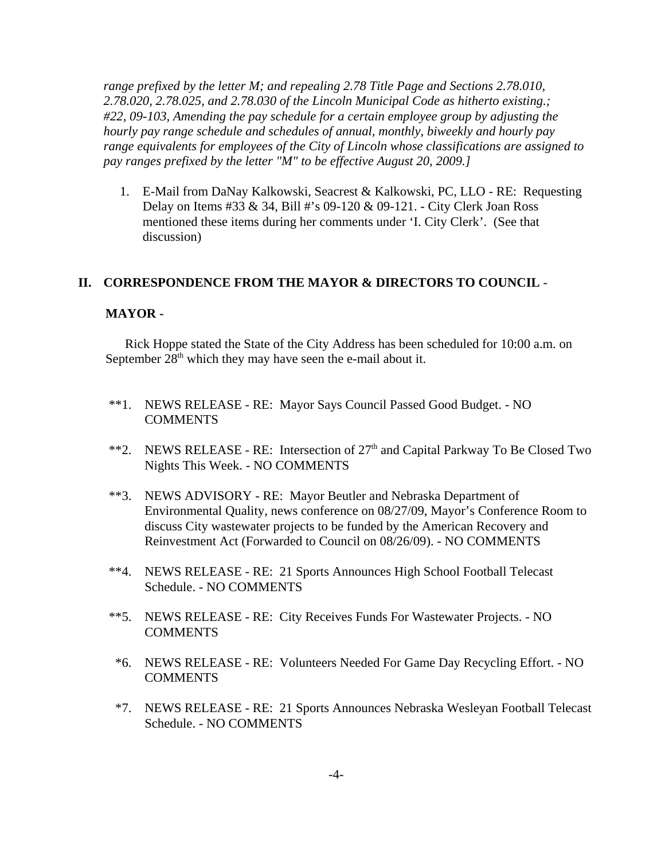*range prefixed by the letter M; and repealing 2.78 Title Page and Sections 2.78.010, 2.78.020, 2.78.025, and 2.78.030 of the Lincoln Municipal Code as hitherto existing.; #22, 09-103, Amending the pay schedule for a certain employee group by adjusting the hourly pay range schedule and schedules of annual, monthly, biweekly and hourly pay range equivalents for employees of the City of Lincoln whose classifications are assigned to pay ranges prefixed by the letter "M" to be effective August 20, 2009.]* 

 1. E-Mail from DaNay Kalkowski, Seacrest & Kalkowski, PC, LLO - RE: Requesting Delay on Items #33 & 34, Bill #'s 09-120 & 09-121. - City Clerk Joan Ross mentioned these items during her comments under 'I. City Clerk'. (See that discussion)

#### **II. CORRESPONDENCE FROM THE MAYOR & DIRECTORS TO COUNCIL** -

#### **MAYOR -**

Rick Hoppe stated the State of the City Address has been scheduled for 10:00 a.m. on September  $28<sup>th</sup>$  which they may have seen the e-mail about it.

- \*\*1. NEWS RELEASE RE: Mayor Says Council Passed Good Budget. NO **COMMENTS**
- \*\*2. NEWS RELEASE RE: Intersection of  $27<sup>th</sup>$  and Capital Parkway To Be Closed Two Nights This Week. - NO COMMENTS
- \*\*3. NEWS ADVISORY RE: Mayor Beutler and Nebraska Department of Environmental Quality, news conference on 08/27/09, Mayor's Conference Room to discuss City wastewater projects to be funded by the American Recovery and Reinvestment Act (Forwarded to Council on 08/26/09). - NO COMMENTS
- \*\*4. NEWS RELEASE RE: 21 Sports Announces High School Football Telecast Schedule. - NO COMMENTS
- \*\*5. NEWS RELEASE RE: City Receives Funds For Wastewater Projects. NO **COMMENTS**
- \*6. NEWS RELEASE RE: Volunteers Needed For Game Day Recycling Effort. NO **COMMENTS**
- \*7. NEWS RELEASE RE: 21 Sports Announces Nebraska Wesleyan Football Telecast Schedule. - NO COMMENTS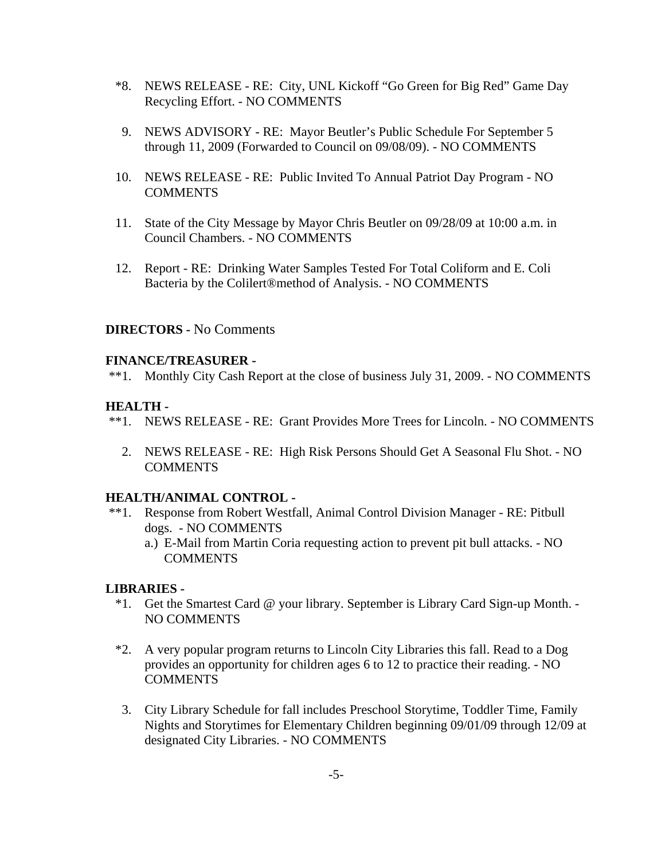- \*8. NEWS RELEASE RE: City, UNL Kickoff "Go Green for Big Red" Game Day Recycling Effort. - NO COMMENTS
- 9. NEWS ADVISORY RE: Mayor Beutler's Public Schedule For September 5 through 11, 2009 (Forwarded to Council on 09/08/09). - NO COMMENTS
- 10. NEWS RELEASE RE: Public Invited To Annual Patriot Day Program NO **COMMENTS**
- 11. State of the City Message by Mayor Chris Beutler on 09/28/09 at 10:00 a.m. in Council Chambers. - NO COMMENTS
- 12. Report RE: Drinking Water Samples Tested For Total Coliform and E. Coli Bacteria by the Colilert®method of Analysis. - NO COMMENTS

### **DIRECTORS -** No Comments

### **FINANCE/TREASURER -**

\*\*1. Monthly City Cash Report at the close of business July 31, 2009. - NO COMMENTS

#### **HEALTH -**

- \*\*1. NEWS RELEASE RE: Grant Provides More Trees for Lincoln. NO COMMENTS
	- 2. NEWS RELEASE RE: High Risk Persons Should Get A Seasonal Flu Shot. NO **COMMENTS**

### **HEALTH/ANIMAL CONTROL -**

- \*\*1. Response from Robert Westfall, Animal Control Division Manager RE: Pitbull dogs. - NO COMMENTS
	- a.) E-Mail from Martin Coria requesting action to prevent pit bull attacks. NO COMMENTS

#### **LIBRARIES -**

- \*1. Get the Smartest Card @ your library. September is Library Card Sign-up Month. NO COMMENTS
- \*2. A very popular program returns to Lincoln City Libraries this fall. Read to a Dog provides an opportunity for children ages 6 to 12 to practice their reading. - NO COMMENTS
- 3. City Library Schedule for fall includes Preschool Storytime, Toddler Time, Family Nights and Storytimes for Elementary Children beginning 09/01/09 through 12/09 at designated City Libraries. - NO COMMENTS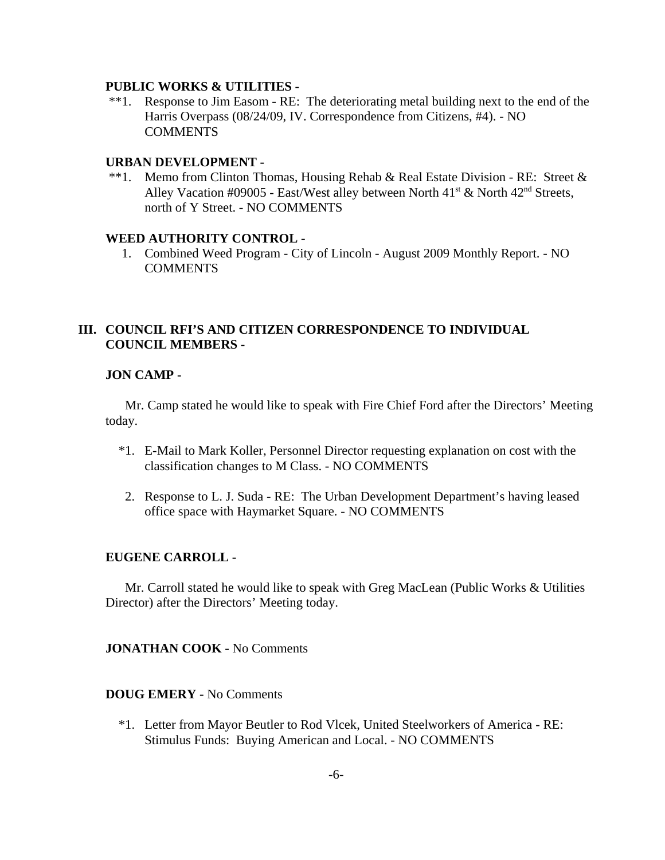#### **PUBLIC WORKS & UTILITIES -**

 \*\*1. Response to Jim Easom - RE: The deteriorating metal building next to the end of the Harris Overpass (08/24/09, IV. Correspondence from Citizens, #4). - NO **COMMENTS** 

#### **URBAN DEVELOPMENT -**

 \*\*1. Memo from Clinton Thomas, Housing Rehab & Real Estate Division - RE: Street & Alley Vacation #09005 - East/West alley between North  $41<sup>st</sup>$  & North  $42<sup>nd</sup>$  Streets, north of Y Street. - NO COMMENTS

#### **WEED AUTHORITY CONTROL -**

 1. Combined Weed Program - City of Lincoln - August 2009 Monthly Report. - NO **COMMENTS** 

### **III. COUNCIL RFI'S AND CITIZEN CORRESPONDENCE TO INDIVIDUAL COUNCIL MEMBERS -**

#### **JON CAMP -**

Mr. Camp stated he would like to speak with Fire Chief Ford after the Directors' Meeting today.

- \*1. E-Mail to Mark Koller, Personnel Director requesting explanation on cost with the classification changes to M Class. - NO COMMENTS
- 2. Response to L. J. Suda RE: The Urban Development Department's having leased office space with Haymarket Square. - NO COMMENTS

#### **EUGENE CARROLL -**

Mr. Carroll stated he would like to speak with Greg MacLean (Public Works & Utilities Director) after the Directors' Meeting today.

**JONATHAN COOK -** No Comments

### **DOUG EMERY -** No Comments

 \*1. Letter from Mayor Beutler to Rod Vlcek, United Steelworkers of America - RE: Stimulus Funds: Buying American and Local. - NO COMMENTS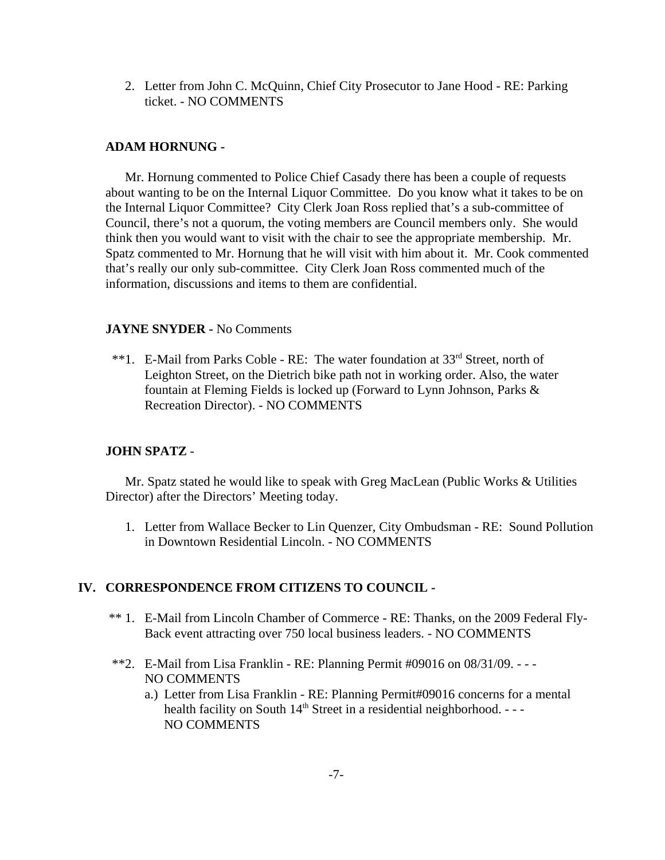2. Letter from John C. McQuinn, Chief City Prosecutor to Jane Hood - RE: Parking ticket. - NO COMMENTS

### **ADAM HORNUNG -**

Mr. Hornung commented to Police Chief Casady there has been a couple of requests about wanting to be on the Internal Liquor Committee. Do you know what it takes to be on the Internal Liquor Committee? City Clerk Joan Ross replied that's a sub-committee of Council, there's not a quorum, the voting members are Council members only. She would think then you would want to visit with the chair to see the appropriate membership. Mr. Spatz commented to Mr. Hornung that he will visit with him about it. Mr. Cook commented that's really our only sub-committee. City Clerk Joan Ross commented much of the information, discussions and items to them are confidential.

### **JAYNE SNYDER -** No Comments

\*\*1. E-Mail from Parks Coble - RE: The water foundation at 33<sup>rd</sup> Street, north of Leighton Street, on the Dietrich bike path not in working order. Also, the water fountain at Fleming Fields is locked up (Forward to Lynn Johnson, Parks & Recreation Director). - NO COMMENTS

### **JOHN SPATZ** -

Mr. Spatz stated he would like to speak with Greg MacLean (Public Works & Utilities Director) after the Directors' Meeting today.

 1. Letter from Wallace Becker to Lin Quenzer, City Ombudsman - RE: Sound Pollution in Downtown Residential Lincoln. - NO COMMENTS

### **IV. CORRESPONDENCE FROM CITIZENS TO COUNCIL -**

- \*\* 1. E-Mail from Lincoln Chamber of Commerce RE: Thanks, on the 2009 Federal Fly-Back event attracting over 750 local business leaders. - NO COMMENTS
- \*\*2. E-Mail from Lisa Franklin RE: Planning Permit  $\#09016$  on  $08/31/09$ . NO COMMENTS
	- a.) Letter from Lisa Franklin RE: Planning Permit#09016 concerns for a mental health facility on South  $14<sup>th</sup>$  Street in a residential neighborhood. - - -NO COMMENTS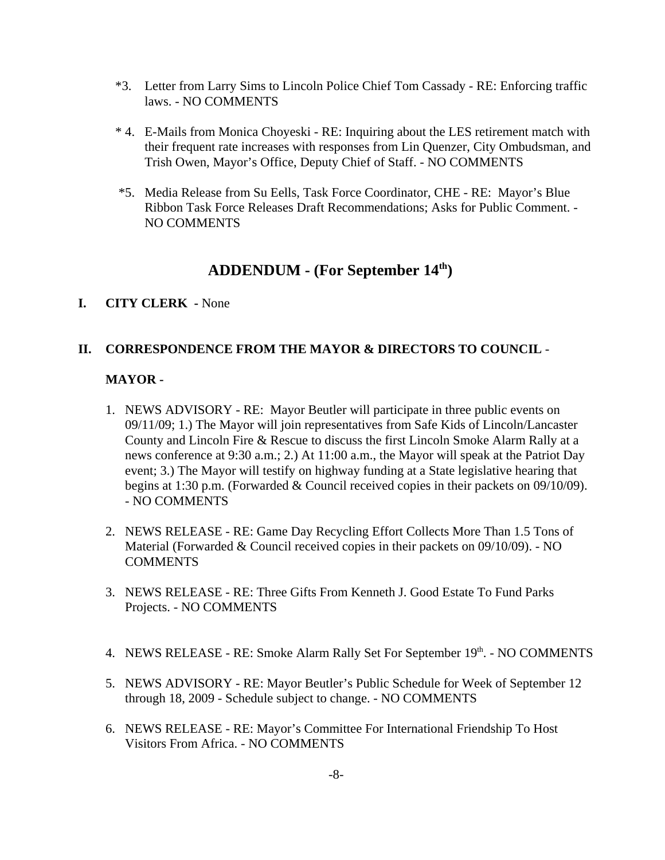- \*3. Letter from Larry Sims to Lincoln Police Chief Tom Cassady RE: Enforcing traffic laws. - NO COMMENTS
- \* 4. E-Mails from Monica Choyeski RE: Inquiring about the LES retirement match with their frequent rate increases with responses from Lin Quenzer, City Ombudsman, and Trish Owen, Mayor's Office, Deputy Chief of Staff. - NO COMMENTS
- \*5. Media Release from Su Eells, Task Force Coordinator, CHE RE: Mayor's Blue Ribbon Task Force Releases Draft Recommendations; Asks for Public Comment. - NO COMMENTS

# **ADDENDUM - (For September 14th)**

### **I. CITY CLERK -** None

### **II. CORRESPONDENCE FROM THE MAYOR & DIRECTORS TO COUNCIL** -

### **MAYOR -**

- 1. NEWS ADVISORY RE: Mayor Beutler will participate in three public events on 09/11/09; 1.) The Mayor will join representatives from Safe Kids of Lincoln/Lancaster County and Lincoln Fire & Rescue to discuss the first Lincoln Smoke Alarm Rally at a news conference at 9:30 a.m.; 2.) At 11:00 a.m., the Mayor will speak at the Patriot Day event; 3.) The Mayor will testify on highway funding at a State legislative hearing that begins at 1:30 p.m. (Forwarded & Council received copies in their packets on 09/10/09). - NO COMMENTS
- 2. NEWS RELEASE RE: Game Day Recycling Effort Collects More Than 1.5 Tons of Material (Forwarded & Council received copies in their packets on 09/10/09). - NO **COMMENTS**
- 3. NEWS RELEASE RE: Three Gifts From Kenneth J. Good Estate To Fund Parks Projects. - NO COMMENTS
- 4. NEWS RELEASE RE: Smoke Alarm Rally Set For September 19th. NO COMMENTS
- 5. NEWS ADVISORY RE: Mayor Beutler's Public Schedule for Week of September 12 through 18, 2009 - Schedule subject to change. - NO COMMENTS
- 6. NEWS RELEASE RE: Mayor's Committee For International Friendship To Host Visitors From Africa. - NO COMMENTS